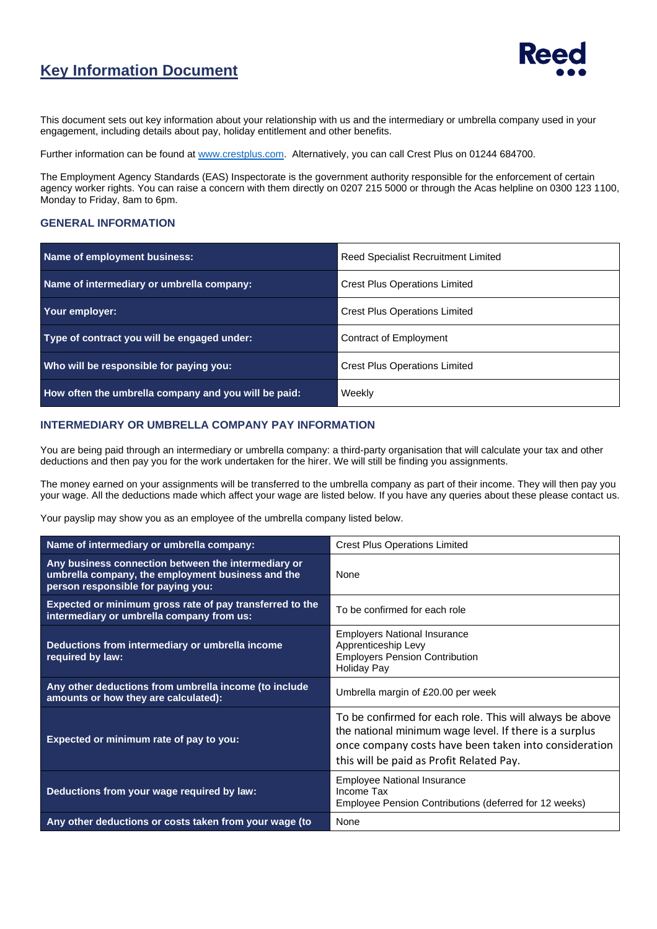## **Key Information Document**



This document sets out key information about your relationship with us and the intermediary or umbrella company used in your engagement, including details about pay, holiday entitlement and other benefits.

Further information can be found a[t www.crestplus.com.](http://www.crestplus.com/) Alternatively, you can call Crest Plus on 01244 684700.

The Employment Agency Standards (EAS) Inspectorate is the government authority responsible for the enforcement of certain agency worker rights. You can raise a concern with them directly on 0207 215 5000 or through the Acas helpline on 0300 123 1100, Monday to Friday, 8am to 6pm.

#### **GENERAL INFORMATION**

| Name of employment business:                         | <b>Reed Specialist Recruitment Limited</b> |  |
|------------------------------------------------------|--------------------------------------------|--|
| Name of intermediary or umbrella company:            | <b>Crest Plus Operations Limited</b>       |  |
| Your employer:                                       | <b>Crest Plus Operations Limited</b>       |  |
| Type of contract you will be engaged under:          | Contract of Employment                     |  |
| Who will be responsible for paying you:              | <b>Crest Plus Operations Limited</b>       |  |
| How often the umbrella company and you will be paid: | Weekly                                     |  |

#### **INTERMEDIARY OR UMBRELLA COMPANY PAY INFORMATION**

You are being paid through an intermediary or umbrella company: a third-party organisation that will calculate your tax and other deductions and then pay you for the work undertaken for the hirer. We will still be finding you assignments.

The money earned on your assignments will be transferred to the umbrella company as part of their income. They will then pay you your wage. All the deductions made which affect your wage are listed below. If you have any queries about these please contact us.

Your payslip may show you as an employee of the umbrella company listed below.

| Name of intermediary or umbrella company:                                                                                                      | <b>Crest Plus Operations Limited</b>                                                                                                                                                                                    |  |
|------------------------------------------------------------------------------------------------------------------------------------------------|-------------------------------------------------------------------------------------------------------------------------------------------------------------------------------------------------------------------------|--|
| Any business connection between the intermediary or<br>umbrella company, the employment business and the<br>person responsible for paying you: | <b>None</b>                                                                                                                                                                                                             |  |
| <b>Expected or minimum gross rate of pay transferred to the</b><br>intermediary or umbrella company from us:                                   | To be confirmed for each role                                                                                                                                                                                           |  |
| Deductions from intermediary or umbrella income<br>required by law:                                                                            | <b>Employers National Insurance</b><br>Apprenticeship Levy<br><b>Employers Pension Contribution</b><br><b>Holiday Pay</b>                                                                                               |  |
| Any other deductions from umbrella income (to include<br>amounts or how they are calculated):                                                  | Umbrella margin of £20.00 per week                                                                                                                                                                                      |  |
| Expected or minimum rate of pay to you:                                                                                                        | To be confirmed for each role. This will always be above<br>the national minimum wage level. If there is a surplus<br>once company costs have been taken into consideration<br>this will be paid as Profit Related Pay. |  |
| Deductions from your wage required by law:                                                                                                     | <b>Employee National Insurance</b><br>Income Tax<br>Employee Pension Contributions (deferred for 12 weeks)                                                                                                              |  |
| Any other deductions or costs taken from your wage (to                                                                                         | None                                                                                                                                                                                                                    |  |